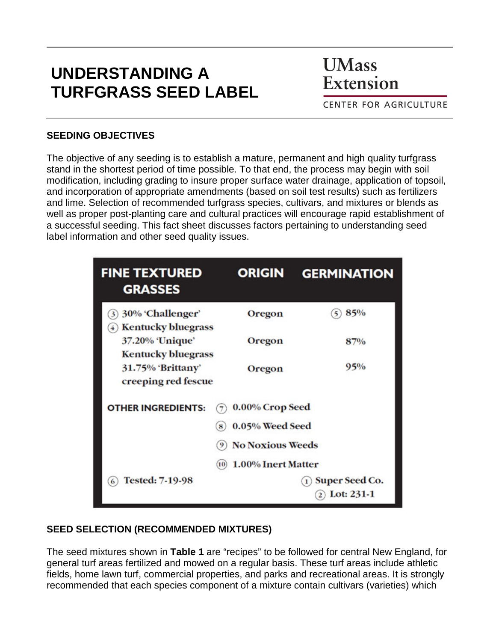# **UNDERSTANDING A TURFGRASS SEED LABEL**

**UMass** Extension

**CENTER FOR AGRICULTURE** 

#### **SEEDING OBJECTIVES**

The objective of any seeding is to establish a mature, permanent and high quality turfgrass stand in the shortest period of time possible. To that end, the process may begin with soil modification, including grading to insure proper surface water drainage, application of topsoil, and incorporation of appropriate amendments (based on soil test results) such as fertilizers and lime. Selection of recommended turfgrass species, cultivars, and mixtures or blends as well as proper post-planting care and cultural practices will encourage rapid establishment of a successful seeding. This fact sheet discusses factors pertaining to understanding seed label information and other seed quality issues.

| <b>FINE TEXTURED</b><br><b>GRASSES</b>              | <b>ORIGIN</b>                     | <b>GERMINATION</b>                                             |
|-----------------------------------------------------|-----------------------------------|----------------------------------------------------------------|
| 30% 'Challenger'<br>3)<br><b>Kentucky bluegrass</b> | Oregon                            | 85%                                                            |
| 37.20% 'Unique'<br><b>Kentucky bluegrass</b>        | Oregon                            | 87%                                                            |
| 31.75% 'Brittany'<br>creeping red fescue            | Oregon                            | 95%                                                            |
| <b>OTHER INGREDIENTS:</b>                           | 0.00% Crop Seed                   |                                                                |
|                                                     | 0.05% Weed Seed<br>8              |                                                                |
|                                                     | <b>No Noxious Weeds</b><br>9)     |                                                                |
|                                                     | <b>1.00% Inert Matter</b><br>(10) |                                                                |
| <b>Tested: 7-19-98</b><br>6                         |                                   | Super Seed Co.<br>$\mathbf{1}$<br>Lot: 231-1<br>$\overline{2}$ |

#### **SEED SELECTION (RECOMMENDED MIXTURES)**

The seed mixtures shown in **Table 1** are "recipes" to be followed for central New England, for general turf areas fertilized and mowed on a regular basis. These turf areas include athletic fields, home lawn turf, commercial properties, and parks and recreational areas. It is strongly recommended that each species component of a mixture contain cultivars (varieties) which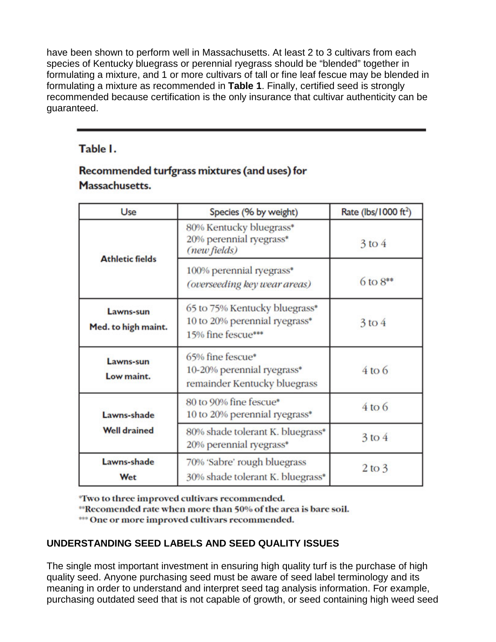have been shown to perform well in Massachusetts. At least 2 to 3 cultivars from each species of Kentucky bluegrass or perennial ryegrass should be "blended" together in formulating a mixture, and 1 or more cultivars of tall or fine leaf fescue may be blended in formulating a mixture as recommended in **Table 1**. Finally, certified seed is strongly recommended because certification is the only insurance that cultivar authenticity can be guaranteed.

#### Table I.

### Recommended turfgrass mixtures (and uses) for Massachusetts.

| Use                                                                                   | Species (% by weight)                                                                |                        |  |
|---------------------------------------------------------------------------------------|--------------------------------------------------------------------------------------|------------------------|--|
| <b>Athletic fields</b>                                                                | 80% Kentucky bluegrass*<br>20% perennial ryegrass*<br>(new fields)                   | $3$ to $4$             |  |
|                                                                                       | 100% perennial ryegrass*<br>(overseeding key wear areas)                             | $6 \text{ to } 8^{**}$ |  |
| Lawns-sun<br>Med. to high maint.                                                      | 65 to 75% Kentucky bluegrass*<br>10 to 20% perennial ryegrass*<br>15% fine fescue*** | $3$ to $4$             |  |
| Lawns-sun<br>Low maint.                                                               | 65% fine fescue*<br>10-20% perennial ryegrass*<br>remainder Kentucky bluegrass       | $4$ to 6               |  |
| Lawns-shade<br><b>Well drained</b>                                                    | 80 to 90% fine fescue*<br>10 to 20% perennial ryegrass*                              | $4$ to $6$             |  |
|                                                                                       | 80% shade tolerant K. bluegrass*<br>20% perennial ryegrass*                          | $3$ to $4$             |  |
| Lawns-shade<br>70% 'Sabre' rough bluegrass<br>30% shade tolerant K. bluegrass*<br>Wet |                                                                                      | $2$ to $3$             |  |

"Two to three improved cultivars recommended.

"Recomended rate when more than 50% of the area is bare soil.

\*\*\* One or more improved cultivars recommended.

#### **UNDERSTANDING SEED LABELS AND SEED QUALITY ISSUES**

The single most important investment in ensuring high quality turf is the purchase of high quality seed. Anyone purchasing seed must be aware of seed label terminology and its meaning in order to understand and interpret seed tag analysis information. For example, purchasing outdated seed that is not capable of growth, or seed containing high weed seed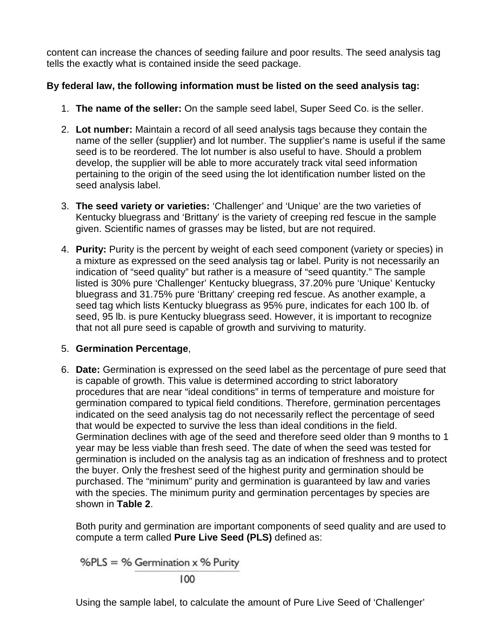content can increase the chances of seeding failure and poor results. The seed analysis tag tells the exactly what is contained inside the seed package.

#### **By federal law, the following information must be listed on the seed analysis tag:**

- 1. **The name of the seller:** On the sample seed label, Super Seed Co. is the seller.
- 2. **Lot number:** Maintain a record of all seed analysis tags because they contain the name of the seller (supplier) and lot number. The supplier's name is useful if the same seed is to be reordered. The lot number is also useful to have. Should a problem develop, the supplier will be able to more accurately track vital seed information pertaining to the origin of the seed using the lot identification number listed on the seed analysis label.
- 3. **The seed variety or varieties:** 'Challenger' and 'Unique' are the two varieties of Kentucky bluegrass and 'Brittany' is the variety of creeping red fescue in the sample given. Scientific names of grasses may be listed, but are not required.
- 4. **Purity:** Purity is the percent by weight of each seed component (variety or species) in a mixture as expressed on the seed analysis tag or label. Purity is not necessarily an indication of "seed quality" but rather is a measure of "seed quantity." The sample listed is 30% pure 'Challenger' Kentucky bluegrass, 37.20% pure 'Unique' Kentucky bluegrass and 31.75% pure 'Brittany' creeping red fescue. As another example, a seed tag which lists Kentucky bluegrass as 95% pure, indicates for each 100 lb. of seed, 95 lb. is pure Kentucky bluegrass seed. However, it is important to recognize that not all pure seed is capable of growth and surviving to maturity.

#### 5. **Germination Percentage**,

6. **Date:** Germination is expressed on the seed label as the percentage of pure seed that is capable of growth. This value is determined according to strict laboratory procedures that are near "ideal conditions" in terms of temperature and moisture for germination compared to typical field conditions. Therefore, germination percentages indicated on the seed analysis tag do not necessarily reflect the percentage of seed that would be expected to survive the less than ideal conditions in the field. Germination declines with age of the seed and therefore seed older than 9 months to 1 year may be less viable than fresh seed. The date of when the seed was tested for germination is included on the analysis tag as an indication of freshness and to protect the buyer. Only the freshest seed of the highest purity and germination should be purchased. The "minimum" purity and germination is guaranteed by law and varies with the species. The minimum purity and germination percentages by species are shown in **Table 2**.

Both purity and germination are important components of seed quality and are used to compute a term called **Pure Live Seed (PLS)** defined as:

% $PLS = %$  Germination x % Purity

 $100$ 

Using the sample label, to calculate the amount of Pure Live Seed of 'Challenger'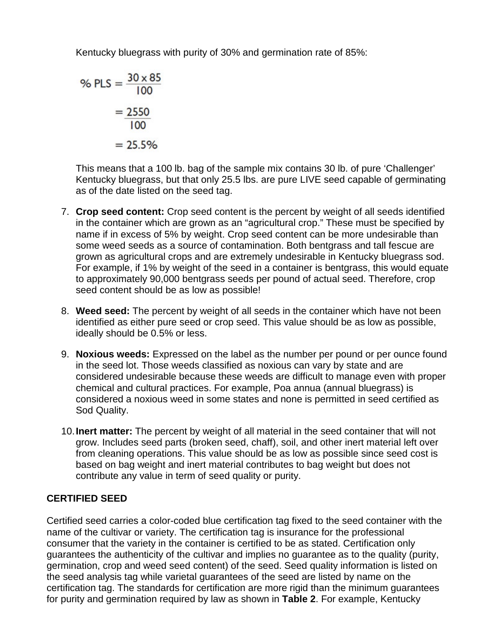Kentucky bluegrass with purity of 30% and germination rate of 85%:

% PLS = 
$$
\frac{30 \times 85}{100}
$$

$$
= \frac{2550}{100}
$$

$$
= 25.5\%
$$

This means that a 100 lb. bag of the sample mix contains 30 lb. of pure 'Challenger' Kentucky bluegrass, but that only 25.5 lbs. are pure LIVE seed capable of germinating as of the date listed on the seed tag.

- 7. **Crop seed content:** Crop seed content is the percent by weight of all seeds identified in the container which are grown as an "agricultural crop." These must be specified by name if in excess of 5% by weight. Crop seed content can be more undesirable than some weed seeds as a source of contamination. Both bentgrass and tall fescue are grown as agricultural crops and are extremely undesirable in Kentucky bluegrass sod. For example, if 1% by weight of the seed in a container is bentgrass, this would equate to approximately 90,000 bentgrass seeds per pound of actual seed. Therefore, crop seed content should be as low as possible!
- 8. **Weed seed:** The percent by weight of all seeds in the container which have not been identified as either pure seed or crop seed. This value should be as low as possible, ideally should be 0.5% or less.
- 9. **Noxious weeds:** Expressed on the label as the number per pound or per ounce found in the seed lot. Those weeds classified as noxious can vary by state and are considered undesirable because these weeds are difficult to manage even with proper chemical and cultural practices. For example, Poa annua (annual bluegrass) is considered a noxious weed in some states and none is permitted in seed certified as Sod Quality.
- 10.**Inert matter:** The percent by weight of all material in the seed container that will not grow. Includes seed parts (broken seed, chaff), soil, and other inert material left over from cleaning operations. This value should be as low as possible since seed cost is based on bag weight and inert material contributes to bag weight but does not contribute any value in term of seed quality or purity.

#### **CERTIFIED SEED**

Certified seed carries a color-coded blue certification tag fixed to the seed container with the name of the cultivar or variety. The certification tag is insurance for the professional consumer that the variety in the container is certified to be as stated. Certification only guarantees the authenticity of the cultivar and implies no guarantee as to the quality (purity, germination, crop and weed seed content) of the seed. Seed quality information is listed on the seed analysis tag while varietal guarantees of the seed are listed by name on the certification tag. The standards for certification are more rigid than the minimum guarantees for purity and germination required by law as shown in **Table 2**. For example, Kentucky